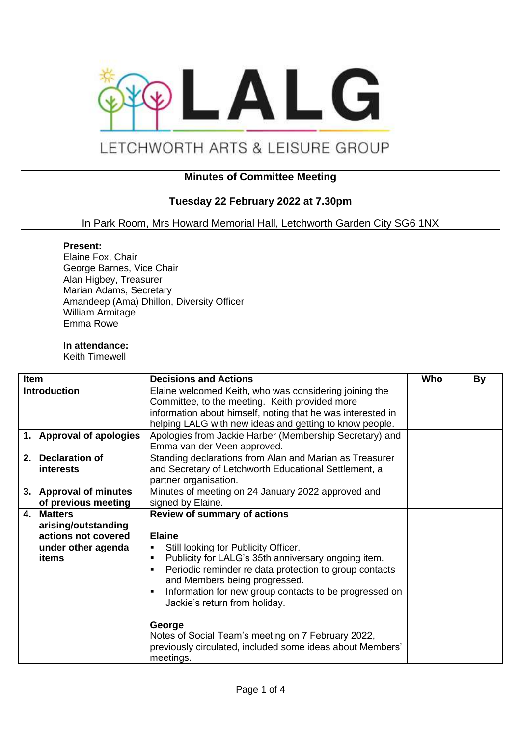

# LETCHWORTH ARTS & LEISURE GROUP

## **Minutes of Committee Meeting**

## **Tuesday 22 February 2022 at 7.30pm**

In Park Room, Mrs Howard Memorial Hall, Letchworth Garden City SG6 1NX

#### **Present:**

Elaine Fox, Chair George Barnes, Vice Chair Alan Higbey, Treasurer Marian Adams, Secretary Amandeep (Ama) Dhillon, Diversity Officer William Armitage Emma Rowe

#### **In attendance:**

Keith Timewell

| <b>Item</b>  |                          | <b>Decisions and Actions</b>                                | Who | By |
|--------------|--------------------------|-------------------------------------------------------------|-----|----|
| Introduction |                          | Elaine welcomed Keith, who was considering joining the      |     |    |
|              |                          | Committee, to the meeting. Keith provided more              |     |    |
|              |                          | information about himself, noting that he was interested in |     |    |
|              |                          | helping LALG with new ideas and getting to know people.     |     |    |
|              | 1. Approval of apologies | Apologies from Jackie Harber (Membership Secretary) and     |     |    |
|              |                          | Emma van der Veen approved.                                 |     |    |
|              | 2. Declaration of        | Standing declarations from Alan and Marian as Treasurer     |     |    |
|              | interests                | and Secretary of Letchworth Educational Settlement, a       |     |    |
|              |                          | partner organisation.                                       |     |    |
|              | 3. Approval of minutes   | Minutes of meeting on 24 January 2022 approved and          |     |    |
|              | of previous meeting      | signed by Elaine.                                           |     |    |
| $\mathbf{4}$ | <b>Matters</b>           | <b>Review of summary of actions</b>                         |     |    |
|              | arising/outstanding      |                                                             |     |    |
|              | actions not covered      | <b>Elaine</b>                                               |     |    |
|              | under other agenda       | Still looking for Publicity Officer.<br>٠                   |     |    |
|              | items                    | Publicity for LALG's 35th anniversary ongoing item.<br>п    |     |    |
|              |                          | Periodic reminder re data protection to group contacts      |     |    |
|              |                          | and Members being progressed.                               |     |    |
|              |                          | Information for new group contacts to be progressed on      |     |    |
|              |                          | Jackie's return from holiday.                               |     |    |
|              |                          |                                                             |     |    |
|              |                          | George                                                      |     |    |
|              |                          | Notes of Social Team's meeting on 7 February 2022,          |     |    |
|              |                          | previously circulated, included some ideas about Members'   |     |    |
|              |                          | meetings.                                                   |     |    |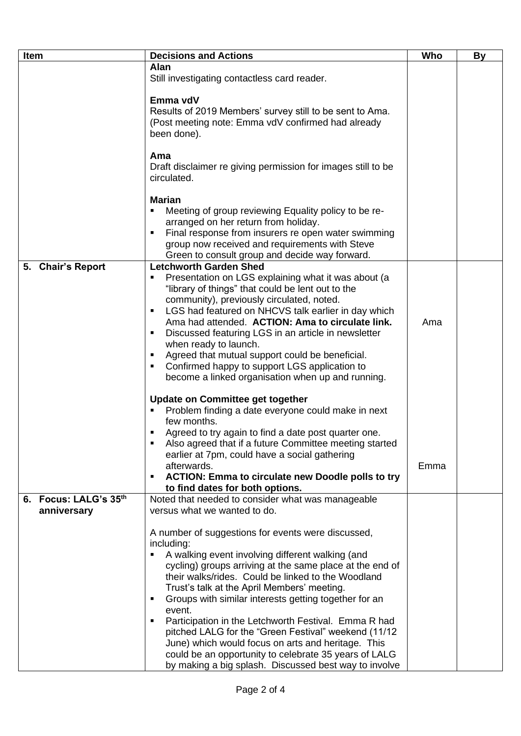| Item                  | <b>Decisions and Actions</b>                                                                                 | Who  | <b>By</b> |
|-----------------------|--------------------------------------------------------------------------------------------------------------|------|-----------|
|                       | <b>Alan</b>                                                                                                  |      |           |
|                       | Still investigating contactless card reader.                                                                 |      |           |
|                       |                                                                                                              |      |           |
|                       | Emma vdV                                                                                                     |      |           |
|                       | Results of 2019 Members' survey still to be sent to Ama.                                                     |      |           |
|                       | (Post meeting note: Emma vdV confirmed had already                                                           |      |           |
|                       | been done).                                                                                                  |      |           |
|                       | Ama                                                                                                          |      |           |
|                       | Draft disclaimer re giving permission for images still to be                                                 |      |           |
|                       | circulated.                                                                                                  |      |           |
|                       |                                                                                                              |      |           |
|                       | <b>Marian</b>                                                                                                |      |           |
|                       | Meeting of group reviewing Equality policy to be re-                                                         |      |           |
|                       | arranged on her return from holiday.                                                                         |      |           |
|                       | Final response from insurers re open water swimming                                                          |      |           |
|                       | group now received and requirements with Steve                                                               |      |           |
|                       | Green to consult group and decide way forward.                                                               |      |           |
| 5. Chair's Report     | <b>Letchworth Garden Shed</b>                                                                                |      |           |
|                       | Presentation on LGS explaining what it was about (a                                                          |      |           |
|                       | "library of things" that could be lent out to the                                                            |      |           |
|                       | community), previously circulated, noted.                                                                    |      |           |
|                       | LGS had featured on NHCVS talk earlier in day which<br>п<br>Ama had attended. ACTION: Ama to circulate link. | Ama  |           |
|                       | Discussed featuring LGS in an article in newsletter                                                          |      |           |
|                       | when ready to launch.                                                                                        |      |           |
|                       | Agreed that mutual support could be beneficial.                                                              |      |           |
|                       | Confirmed happy to support LGS application to<br>٠                                                           |      |           |
|                       | become a linked organisation when up and running.                                                            |      |           |
|                       |                                                                                                              |      |           |
|                       | Update on Committee get together<br>Problem finding a date everyone could make in next                       |      |           |
|                       | few months.                                                                                                  |      |           |
|                       | Agreed to try again to find a date post quarter one.                                                         |      |           |
|                       | Also agreed that if a future Committee meeting started                                                       |      |           |
|                       | earlier at 7pm, could have a social gathering                                                                |      |           |
|                       | afterwards.                                                                                                  | Emma |           |
|                       | <b>ACTION: Emma to circulate new Doodle polls to try</b>                                                     |      |           |
|                       | to find dates for both options.                                                                              |      |           |
| 6. Focus: LALG's 35th | Noted that needed to consider what was manageable                                                            |      |           |
| anniversary           | versus what we wanted to do.                                                                                 |      |           |
|                       |                                                                                                              |      |           |
|                       | A number of suggestions for events were discussed,                                                           |      |           |
|                       | including:                                                                                                   |      |           |
|                       | A walking event involving different walking (and<br>cycling) groups arriving at the same place at the end of |      |           |
|                       | their walks/rides. Could be linked to the Woodland                                                           |      |           |
|                       | Trust's talk at the April Members' meeting.                                                                  |      |           |
|                       | Groups with similar interests getting together for an                                                        |      |           |
|                       | event.                                                                                                       |      |           |
|                       | Participation in the Letchworth Festival. Emma R had                                                         |      |           |
|                       | pitched LALG for the "Green Festival" weekend (11/12                                                         |      |           |
|                       | June) which would focus on arts and heritage. This                                                           |      |           |
|                       | could be an opportunity to celebrate 35 years of LALG                                                        |      |           |
|                       | by making a big splash. Discussed best way to involve                                                        |      |           |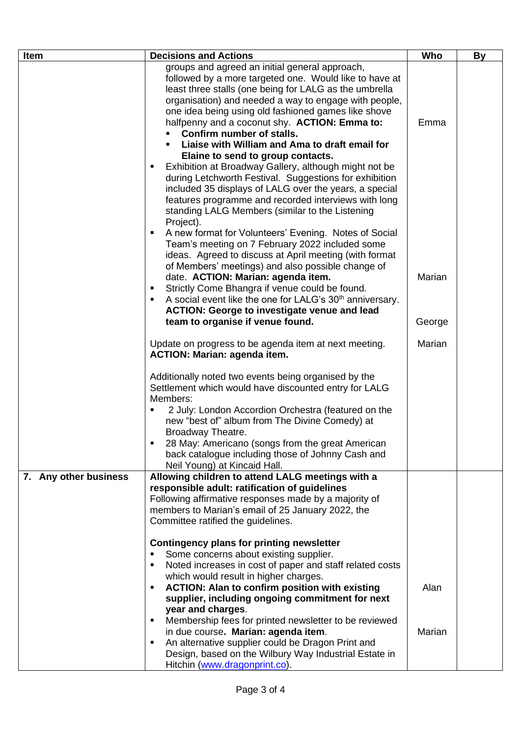| Item                  | <b>Decisions and Actions</b>                                                                                 | Who    | <b>By</b> |
|-----------------------|--------------------------------------------------------------------------------------------------------------|--------|-----------|
|                       | groups and agreed an initial general approach,                                                               |        |           |
|                       | followed by a more targeted one. Would like to have at                                                       |        |           |
|                       | least three stalls (one being for LALG as the umbrella                                                       |        |           |
|                       | organisation) and needed a way to engage with people,                                                        |        |           |
|                       | one idea being using old fashioned games like shove                                                          |        |           |
|                       | halfpenny and a coconut shy. ACTION: Emma to:                                                                | Emma   |           |
|                       | Confirm number of stalls.                                                                                    |        |           |
|                       | Liaise with William and Ama to draft email for                                                               |        |           |
|                       | Elaine to send to group contacts.<br>Exhibition at Broadway Gallery, although might not be<br>$\blacksquare$ |        |           |
|                       | during Letchworth Festival. Suggestions for exhibition                                                       |        |           |
|                       | included 35 displays of LALG over the years, a special                                                       |        |           |
|                       | features programme and recorded interviews with long                                                         |        |           |
|                       | standing LALG Members (similar to the Listening                                                              |        |           |
|                       | Project).                                                                                                    |        |           |
|                       | A new format for Volunteers' Evening. Notes of Social<br>٠                                                   |        |           |
|                       | Team's meeting on 7 February 2022 included some                                                              |        |           |
|                       | ideas. Agreed to discuss at April meeting (with format                                                       |        |           |
|                       | of Members' meetings) and also possible change of                                                            |        |           |
|                       | date. ACTION: Marian: agenda item.                                                                           | Marian |           |
|                       | Strictly Come Bhangra if venue could be found.<br>٠                                                          |        |           |
|                       | A social event like the one for LALG's 30 <sup>th</sup> anniversary.<br>٠                                    |        |           |
|                       | <b>ACTION: George to investigate venue and lead</b>                                                          |        |           |
|                       | team to organise if venue found.                                                                             | George |           |
|                       | Update on progress to be agenda item at next meeting.                                                        | Marian |           |
|                       | <b>ACTION: Marian: agenda item.</b>                                                                          |        |           |
|                       | Additionally noted two events being organised by the                                                         |        |           |
|                       | Settlement which would have discounted entry for LALG                                                        |        |           |
|                       | Members:                                                                                                     |        |           |
|                       | 2 July: London Accordion Orchestra (featured on the                                                          |        |           |
|                       | new "best of" album from The Divine Comedy) at                                                               |        |           |
|                       | Broadway Theatre.                                                                                            |        |           |
|                       | 28 May: Americano (songs from the great American                                                             |        |           |
|                       | back catalogue including those of Johnny Cash and                                                            |        |           |
|                       | Neil Young) at Kincaid Hall.                                                                                 |        |           |
| 7. Any other business | Allowing children to attend LALG meetings with a<br>responsible adult: ratification of guidelines            |        |           |
|                       | Following affirmative responses made by a majority of                                                        |        |           |
|                       | members to Marian's email of 25 January 2022, the                                                            |        |           |
|                       | Committee ratified the guidelines.                                                                           |        |           |
|                       |                                                                                                              |        |           |
|                       | <b>Contingency plans for printing newsletter</b>                                                             |        |           |
|                       | Some concerns about existing supplier.<br>$\blacksquare$                                                     |        |           |
|                       | Noted increases in cost of paper and staff related costs<br>$\blacksquare$                                   |        |           |
|                       | which would result in higher charges.                                                                        |        |           |
|                       | <b>ACTION: Alan to confirm position with existing</b><br>٠                                                   | Alan   |           |
|                       | supplier, including ongoing commitment for next                                                              |        |           |
|                       | year and charges.                                                                                            |        |           |
|                       | Membership fees for printed newsletter to be reviewed<br>٠                                                   |        |           |
|                       | in due course. Marian: agenda item.<br>$\blacksquare$                                                        | Marian |           |
|                       | An alternative supplier could be Dragon Print and<br>Design, based on the Wilbury Way Industrial Estate in   |        |           |
|                       | Hitchin (www.dragonprint.co).                                                                                |        |           |